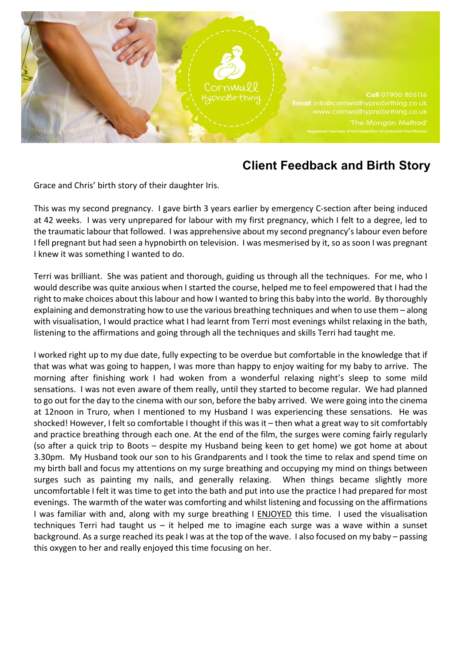

## **Client Feedback and Birth Story**

Grace and Chris' birth story of their daughter Iris.

This was my second pregnancy. I gave birth 3 years earlier by emergency C-section after being induced at 42 weeks. I was very unprepared for labour with my first pregnancy, which I felt to a degree, led to the traumatic labour that followed. I was apprehensive about my second pregnancy's labour even before I fell pregnant but had seen a hypnobirth on television. I was mesmerised by it, so as soon I was pregnant I knew it was something I wanted to do.

Terri was brilliant. She was patient and thorough, guiding us through all the techniques. For me, who I would describe was quite anxious when I started the course, helped me to feel empowered that I had the right to make choices about this labour and how I wanted to bring this baby into the world. By thoroughly explaining and demonstrating how to use the various breathing techniques and when to use them – along with visualisation, I would practice what I had learnt from Terri most evenings whilst relaxing in the bath, listening to the affirmations and going through all the techniques and skills Terri had taught me.

I worked right up to my due date, fully expecting to be overdue but comfortable in the knowledge that if that was what was going to happen, I was more than happy to enjoy waiting for my baby to arrive. The morning after finishing work I had woken from a wonderful relaxing night's sleep to some mild sensations. I was not even aware of them really, until they started to become regular. We had planned to go out for the day to the cinema with our son, before the baby arrived. We were going into the cinema at 12noon in Truro, when I mentioned to my Husband I was experiencing these sensations. He was shocked! However, I felt so comfortable I thought if this was it  $-$  then what a great way to sit comfortably and practice breathing through each one. At the end of the film, the surges were coming fairly regularly (so after a quick trip to Boots – despite my Husband being keen to get home) we got home at about 3.30pm. My Husband took our son to his Grandparents and I took the time to relax and spend time on my birth ball and focus my attentions on my surge breathing and occupying my mind on things between surges such as painting my nails, and generally relaxing. When things became slightly more uncomfortable I felt it was time to get into the bath and put into use the practice I had prepared for most evenings. The warmth of the water was comforting and whilst listening and focussing on the affirmations I was familiar with and, along with my surge breathing I ENJOYED this time. I used the visualisation techniques Terri had taught us  $-$  it helped me to imagine each surge was a wave within a sunset background. As a surge reached its peak I was at the top of the wave. I also focused on my baby – passing this oxygen to her and really enjoyed this time focusing on her.